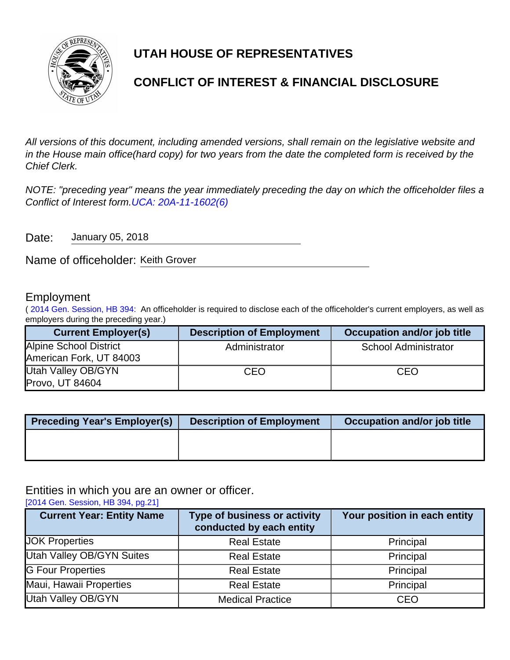

# **UTAH HOUSE OF REPRESENTATIVES**

# **CONFLICT OF INTEREST & FINANCIAL DISCLOSURE**

All versions of this document, including amended versions, shall remain on the legislative website and in the House main office(hard copy) for two years from the date the completed form is received by the Chief Clerk.

NOTE: "preceding year" means the year immediately preceding the day on which the officeholder files a Conflict of Interest form.[UCA: 20A-11-1602\(6\)](http://www.le.utah.gov/xcode/Title20A/Chapter11/20A-11-S1602.html)

Date: January 05, 2018

Name of officeholder: Keith Grover

### Employment

( [2014 Gen. Session, HB 394:](http://le.utah.gov/~2014/bills/static/HB0394.html) An officeholder is required to disclose each of the officeholder's current employers, as well as employers during the preceding year.)

| <b>Current Employer(s)</b> | <b>Description of Employment</b> | Occupation and/or job title |
|----------------------------|----------------------------------|-----------------------------|
| Alpine School District     | Administrator                    | <b>School Administrator</b> |
| American Fork, UT 84003    |                                  |                             |
| Utah Valley OB/GYN         | CEO                              | CEO                         |
| Provo, UT 84604            |                                  |                             |

| <b>Preceding Year's Employer(s)</b> | <b>Description of Employment</b> | Occupation and/or job title |
|-------------------------------------|----------------------------------|-----------------------------|
|                                     |                                  |                             |
|                                     |                                  |                             |

Entities in which you are an owner or officer.

[\[2014 Gen. Session, HB 394, pg.21\]](http://le.utah.gov/~2014/bills/static/HB0394.html)

| <b>Current Year: Entity Name</b> | <b>Type of business or activity</b><br>conducted by each entity | Your position in each entity |
|----------------------------------|-----------------------------------------------------------------|------------------------------|
| <b>JOK Properties</b>            | <b>Real Estate</b>                                              | Principal                    |
| <b>Utah Valley OB/GYN Suites</b> | <b>Real Estate</b>                                              | Principal                    |
| <b>G Four Properties</b>         | <b>Real Estate</b>                                              | Principal                    |
| Maui, Hawaii Properties          | <b>Real Estate</b>                                              | Principal                    |
| <b>Utah Valley OB/GYN</b>        | <b>Medical Practice</b>                                         | <b>CEO</b>                   |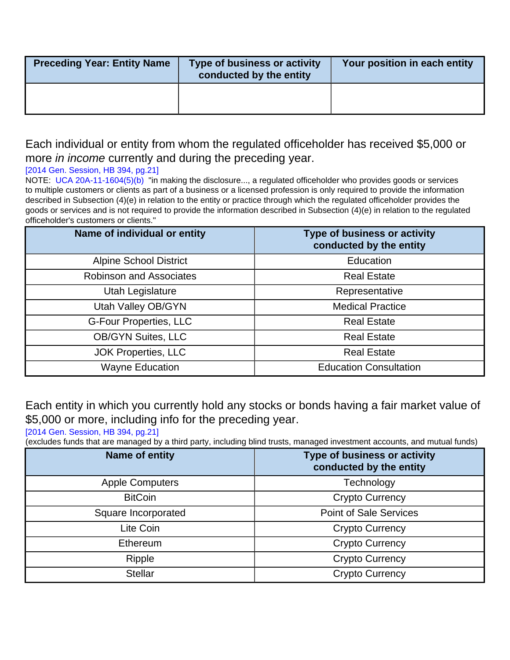| <b>Preceding Year: Entity Name</b> | Type of business or activity<br>conducted by the entity | Your position in each entity |
|------------------------------------|---------------------------------------------------------|------------------------------|
|                                    |                                                         |                              |

## Each individual or entity from whom the regulated officeholder has received \$5,000 or more *in income* currently and during the preceding year.

### [\[2014 Gen. Session, HB 394, pg.21\]](http://le.utah.gov/~2014/bills/static/HB0394.html)

NOTE: [UCA 20A-11-1604\(5\)\(b\)](http://le.utah.gov/xcode/Title20A/Chapter11/20A-11-S1604.html?v=C20A-11-S1604_2014040320140313) "in making the disclosure..., a regulated officeholder who provides goods or services to multiple customers or clients as part of a business or a licensed profession is only required to provide the information described in Subsection (4)(e) in relation to the entity or practice through which the regulated officeholder provides the goods or services and is not required to provide the information described in Subsection (4)(e) in relation to the regulated officeholder's customers or clients."

| Name of individual or entity   | <b>Type of business or activity</b><br>conducted by the entity |
|--------------------------------|----------------------------------------------------------------|
| <b>Alpine School District</b>  | Education                                                      |
| <b>Robinson and Associates</b> | <b>Real Estate</b>                                             |
| Utah Legislature               | Representative                                                 |
| Utah Valley OB/GYN             | <b>Medical Practice</b>                                        |
| <b>G-Four Properties, LLC</b>  | <b>Real Estate</b>                                             |
| <b>OB/GYN Suites, LLC</b>      | <b>Real Estate</b>                                             |
| <b>JOK Properties, LLC</b>     | <b>Real Estate</b>                                             |
| <b>Wayne Education</b>         | <b>Education Consultation</b>                                  |

Each entity in which you currently hold any stocks or bonds having a fair market value of \$5,000 or more, including info for the preceding year.

[\[2014 Gen. Session, HB 394, pg.21\]](http://le.utah.gov/~2014/bills/static/HB0394.html)

(excludes funds that are managed by a third party, including blind trusts, managed investment accounts, and mutual funds)

| Name of entity         | <b>Type of business or activity</b><br>conducted by the entity |
|------------------------|----------------------------------------------------------------|
| <b>Apple Computers</b> | Technology                                                     |
| <b>BitCoin</b>         | <b>Crypto Currency</b>                                         |
| Square Incorporated    | <b>Point of Sale Services</b>                                  |
| Lite Coin              | <b>Crypto Currency</b>                                         |
| <b>Ethereum</b>        | <b>Crypto Currency</b>                                         |
| Ripple                 | <b>Crypto Currency</b>                                         |
| <b>Stellar</b>         | <b>Crypto Currency</b>                                         |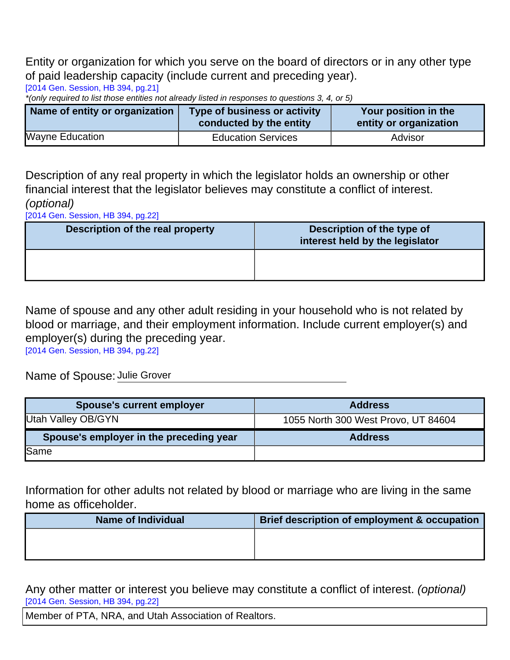Entity or organization for which you serve on the board of directors or in any other type of paid leadership capacity (include current and preceding year).

[\[2014 Gen. Session, HB 394, pg.21\]](http://le.utah.gov/~2014/bills/static/HB0394.html)

\*(only required to list those entities not already listed in responses to questions 3, 4, or 5)

| Name of entity or organization | Type of business or activity<br>conducted by the entity | Your position in the<br>entity or organization |
|--------------------------------|---------------------------------------------------------|------------------------------------------------|
| <b>Wayne Education</b>         | <b>Education Services</b>                               | Advisor                                        |

Description of any real property in which the legislator holds an ownership or other financial interest that the legislator believes may constitute a conflict of interest. (optional)

[\[2014 Gen. Session, HB 394, pg.22\]](http://le.utah.gov/~2014/bills/static/HB0394.html)

| Description of the real property | Description of the type of<br>interest held by the legislator |
|----------------------------------|---------------------------------------------------------------|
|                                  |                                                               |

Name of spouse and any other adult residing in your household who is not related by blood or marriage, and their employment information. Include current employer(s) and employer(s) during the preceding year.

[\[2014 Gen. Session, HB 394, pg.22\]](http://le.utah.gov/~2014/bills/static/HB0394.html)

Name of Spouse: Julie Grover

| <b>Spouse's current employer</b>        | <b>Address</b>                      |
|-----------------------------------------|-------------------------------------|
| Utah Valley OB/GYN                      | 1055 North 300 West Provo, UT 84604 |
| Spouse's employer in the preceding year | <b>Address</b>                      |
| Same                                    |                                     |

Information for other adults not related by blood or marriage who are living in the same home as officeholder.

| <b>Name of Individual</b> | Brief description of employment & occupation |
|---------------------------|----------------------------------------------|
|                           |                                              |
|                           |                                              |

Any other matter or interest you believe may constitute a conflict of interest. (optional) [\[2014 Gen. Session, HB 394, pg.22\]](http://le.utah.gov/~2014/bills/static/HB0394.html)

Member of PTA, NRA, and Utah Association of Realtors.